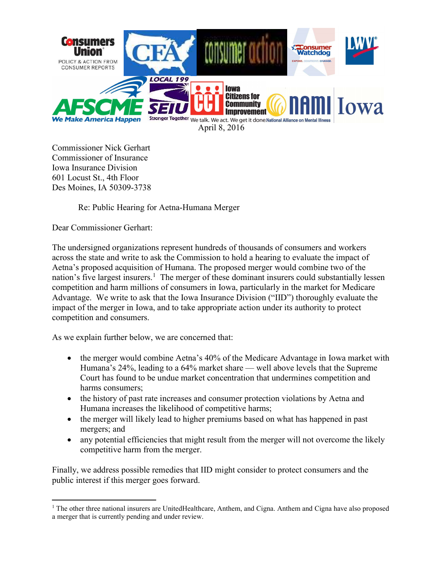

Commissioner Nick Gerhart Commissioner of Insurance Iowa Insurance Division 601 Locust St., 4th Floor Des Moines, IA 50309-3738

### Re: Public Hearing for Aetna-Humana Merger

Dear Commissioner Gerhart:

 $\overline{a}$ 

The undersigned organizations represent hundreds of thousands of consumers and workers across the state and write to ask the Commission to hold a hearing to evaluate the impact of Aetna's proposed acquisition of Humana. The proposed merger would combine two of the nation's five largest insurers.<sup>1</sup> The merger of these dominant insurers could substantially lessen competition and harm millions of consumers in Iowa, particularly in the market for Medicare Advantage. We write to ask that the Iowa Insurance Division ("IID") thoroughly evaluate the impact of the merger in Iowa, and to take appropriate action under its authority to protect competition and consumers.

As we explain further below, we are concerned that:

- the merger would combine Aetna's 40% of the Medicare Advantage in Iowa market with Humana's 24%, leading to a 64% market share — well above levels that the Supreme Court has found to be undue market concentration that undermines competition and harms consumers;
- the history of past rate increases and consumer protection violations by Aetna and Humana increases the likelihood of competitive harms;
- the merger will likely lead to higher premiums based on what has happened in past mergers; and
- any potential efficiencies that might result from the merger will not overcome the likely competitive harm from the merger.

Finally, we address possible remedies that IID might consider to protect consumers and the public interest if this merger goes forward.

<sup>&</sup>lt;sup>1</sup> The other three national insurers are UnitedHealthcare, Anthem, and Cigna. Anthem and Cigna have also proposed a merger that is currently pending and under review.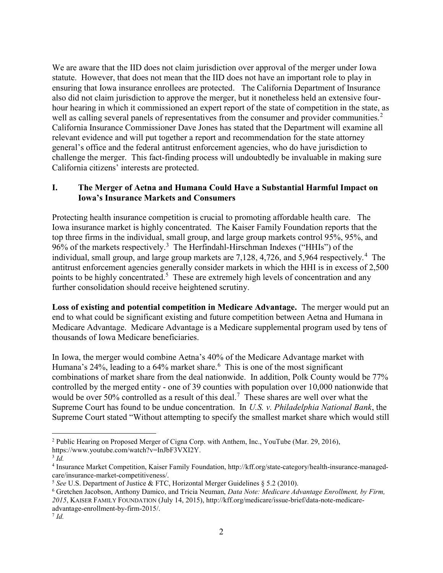We are aware that the IID does not claim jurisdiction over approval of the merger under Iowa statute. However, that does not mean that the IID does not have an important role to play in ensuring that Iowa insurance enrollees are protected. The California Department of Insurance also did not claim jurisdiction to approve the merger, but it nonetheless held an extensive fourhour hearing in which it commissioned an expert report of the state of competition in the state, as well as calling several panels of representatives from the consumer and provider communities.<sup>2</sup> California Insurance Commissioner Dave Jones has stated that the Department will examine all relevant evidence and will put together a report and recommendation for the state attorney general's office and the federal antitrust enforcement agencies, who do have jurisdiction to challenge the merger. This fact-finding process will undoubtedly be invaluable in making sure California citizens' interests are protected.

## I. The Merger of Aetna and Humana Could Have a Substantial Harmful Impact on Iowa's Insurance Markets and Consumers

Protecting health insurance competition is crucial to promoting affordable health care. The Iowa insurance market is highly concentrated. The Kaiser Family Foundation reports that the top three firms in the individual, small group, and large group markets control 95%, 95%, and 96% of the markets respectively.<sup>3</sup> The Herfindahl-Hirschman Indexes ("HHIs") of the individual, small group, and large group markets are 7,128, 4,726, and 5,964 respectively.<sup>4</sup> The antitrust enforcement agencies generally consider markets in which the HHI is in excess of 2,500 points to be highly concentrated.<sup>5</sup> These are extremely high levels of concentration and any further consolidation should receive heightened scrutiny.

Loss of existing and potential competition in Medicare Advantage. The merger would put an end to what could be significant existing and future competition between Aetna and Humana in Medicare Advantage. Medicare Advantage is a Medicare supplemental program used by tens of thousands of Iowa Medicare beneficiaries.

In Iowa, the merger would combine Aetna's 40% of the Medicare Advantage market with Humana's 24%, leading to a 64% market share.  $6$  This is one of the most significant combinations of market share from the deal nationwide. In addition, Polk County would be 77% controlled by the merged entity - one of 39 counties with population over 10,000 nationwide that would be over 50% controlled as a result of this deal.<sup>7</sup> These shares are well over what the Supreme Court has found to be undue concentration. In U.S. v. Philadelphia National Bank, the Supreme Court stated "Without attempting to specify the smallest market share which would still

<sup>&</sup>lt;sup>2</sup> Public Hearing on Proposed Merger of Cigna Corp. with Anthem, Inc., YouTube (Mar. 29, 2016), https://www.youtube.com/watch?v=InJbF3VXI2Y.

 $3$  Id.

<sup>4</sup> Insurance Market Competition, Kaiser Family Foundation, http://kff.org/state-category/health-insurance-managedcare/insurance-market-competitiveness/.

<sup>&</sup>lt;sup>5</sup> See U.S. Department of Justice & FTC, Horizontal Merger Guidelines  $\S$  5.2 (2010).

<sup>&</sup>lt;sup>6</sup> Gretchen Jacobson, Anthony Damico, and Tricia Neuman, Data Note: Medicare Advantage Enrollment, by Firm, 2015, KAISER FAMILY FOUNDATION (July 14, 2015), http://kff.org/medicare/issue-brief/data-note-medicareadvantage-enrollment-by-firm-2015/.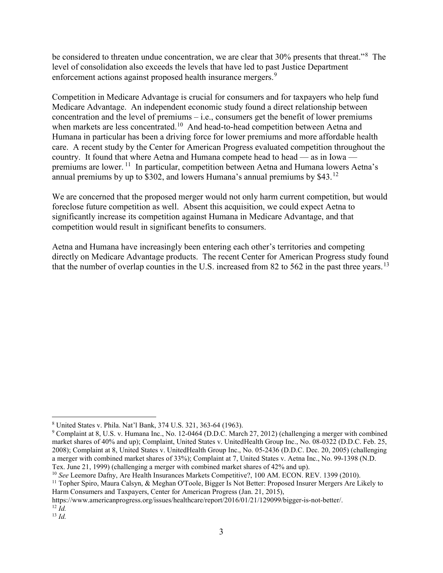be considered to threaten undue concentration, we are clear that 30% presents that threat."<sup>8</sup> The level of consolidation also exceeds the levels that have led to past Justice Department enforcement actions against proposed health insurance mergers.<sup>9</sup>

Competition in Medicare Advantage is crucial for consumers and for taxpayers who help fund Medicare Advantage. An independent economic study found a direct relationship between concentration and the level of premiums – i.e., consumers get the benefit of lower premiums when markets are less concentrated.<sup>10</sup> And head-to-head competition between Aetna and Humana in particular has been a driving force for lower premiums and more affordable health care. A recent study by the Center for American Progress evaluated competition throughout the country. It found that where Aetna and Humana compete head to head — as in Iowa premiums are lower.<sup>11</sup> In particular, competition between Aetna and Humana lowers Aetna's annual premiums by up to \$302, and lowers Humana's annual premiums by \$43.<sup>12</sup>

We are concerned that the proposed merger would not only harm current competition, but would foreclose future competition as well. Absent this acquisition, we could expect Aetna to significantly increase its competition against Humana in Medicare Advantage, and that competition would result in significant benefits to consumers.

Aetna and Humana have increasingly been entering each other's territories and competing directly on Medicare Advantage products. The recent Center for American Progress study found that the number of overlap counties in the U.S. increased from 82 to 562 in the past three years.<sup>13</sup>

<sup>8</sup> United States v. Phila. Nat'l Bank, 374 U.S. 321, 363-64 (1963).

<sup>&</sup>lt;sup>9</sup> Complaint at 8, U.S. v. Humana Inc., No. 12-0464 (D.D.C. March 27, 2012) (challenging a merger with combined market shares of 40% and up); Complaint, United States v. UnitedHealth Group Inc., No. 08-0322 (D.D.C. Feb. 25, 2008); Complaint at 8, United States v. UnitedHealth Group Inc., No. 05-2436 (D.D.C. Dec. 20, 2005) (challenging a merger with combined market shares of 33%); Complaint at 7, United States v. Aetna Inc., No. 99-1398 (N.D. Tex. June 21, 1999) (challenging a merger with combined market shares of 42% and up).

<sup>&</sup>lt;sup>10</sup> See Leemore Dafny, Are Health Insurances Markets Competitive?, 100 AM. ECON. REV. 1399 (2010).

<sup>&</sup>lt;sup>11</sup> Topher Spiro, Maura Calsyn, & Meghan O'Toole, Bigger Is Not Better: Proposed Insurer Mergers Are Likely to Harm Consumers and Taxpayers, Center for American Progress (Jan. 21, 2015),

https://www.americanprogress.org/issues/healthcare/report/2016/01/21/129099/bigger-is-not-better/.  $12$  *Id.* 

 $13$  *Id.*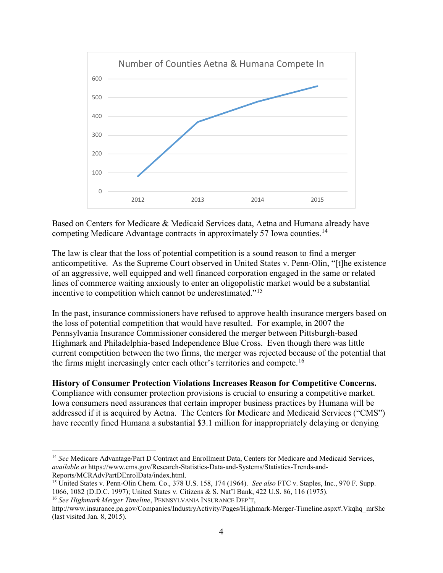

Based on Centers for Medicare & Medicaid Services data, Aetna and Humana already have competing Medicare Advantage contracts in approximately 57 Iowa counties.<sup>14</sup>

The law is clear that the loss of potential competition is a sound reason to find a merger anticompetitive. As the Supreme Court observed in United States v. Penn-Olin, "[t]he existence of an aggressive, well equipped and well financed corporation engaged in the same or related lines of commerce waiting anxiously to enter an oligopolistic market would be a substantial incentive to competition which cannot be underestimated."<sup>15</sup>

In the past, insurance commissioners have refused to approve health insurance mergers based on the loss of potential competition that would have resulted. For example, in 2007 the Pennsylvania Insurance Commissioner considered the merger between Pittsburgh-based Highmark and Philadelphia-based Independence Blue Cross. Even though there was little current competition between the two firms, the merger was rejected because of the potential that the firms might increasingly enter each other's territories and compete.<sup>16</sup>

### History of Consumer Protection Violations Increases Reason for Competitive Concerns.

Compliance with consumer protection provisions is crucial to ensuring a competitive market. Iowa consumers need assurances that certain improper business practices by Humana will be addressed if it is acquired by Aetna. The Centers for Medicare and Medicaid Services ("CMS") have recently fined Humana a substantial \$3.1 million for inappropriately delaying or denying

<sup>&</sup>lt;sup>14</sup> See Medicare Advantage/Part D Contract and Enrollment Data, Centers for Medicare and Medicaid Services, available at https://www.cms.gov/Research-Statistics-Data-and-Systems/Statistics-Trends-and-Reports/MCRAdvPartDEnrolData/index.html.

<sup>&</sup>lt;sup>15</sup> United States v. Penn-Olin Chem. Co., 378 U.S. 158, 174 (1964). See also FTC v. Staples, Inc., 970 F. Supp. 1066, 1082 (D.D.C. 1997); United States v. Citizens & S. Nat'l Bank, 422 U.S. 86, 116 (1975).

<sup>&</sup>lt;sup>16</sup> See Highmark Merger Timeline, PENNSYLVANIA INSURANCE DEP'T,

http://www.insurance.pa.gov/Companies/IndustryActivity/Pages/Highmark-Merger-Timeline.aspx#.Vkqhq\_mrShc (last visited Jan. 8, 2015).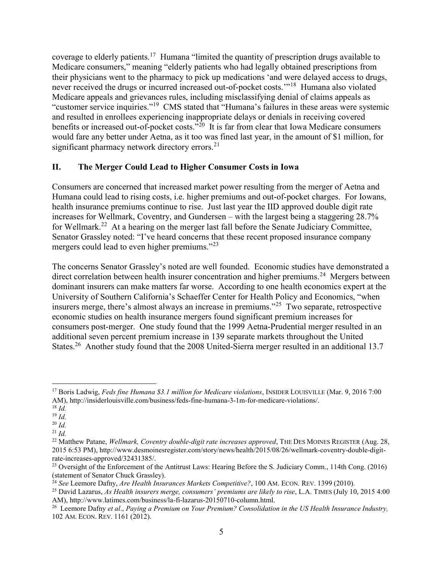coverage to elderly patients.<sup>17</sup> Humana "limited the quantity of prescription drugs available to Medicare consumers," meaning "elderly patients who had legally obtained prescriptions from their physicians went to the pharmacy to pick up medications 'and were delayed access to drugs, never received the drugs or incurred increased out-of-pocket costs."<sup>18</sup> Humana also violated Medicare appeals and grievances rules, including misclassifying denial of claims appeals as "customer service inquiries."<sup>19</sup> CMS stated that "Humana's failures in these areas were systemic and resulted in enrollees experiencing inappropriate delays or denials in receiving covered benefits or increased out-of-pocket costs."<sup>20</sup> It is far from clear that Iowa Medicare consumers would fare any better under Aetna, as it too was fined last year, in the amount of \$1 million, for significant pharmacy network directory errors. $^{21}$ 

### II. The Merger Could Lead to Higher Consumer Costs in Iowa

Consumers are concerned that increased market power resulting from the merger of Aetna and Humana could lead to rising costs, i.e. higher premiums and out-of-pocket charges. For Iowans, health insurance premiums continue to rise. Just last year the IID approved double digit rate increases for Wellmark, Coventry, and Gundersen – with the largest being a staggering 28.7% for Wellmark.<sup>22</sup> At a hearing on the merger last fall before the Senate Judiciary Committee, Senator Grassley noted: "I've heard concerns that these recent proposed insurance company mergers could lead to even higher premiums."<sup>23</sup>

The concerns Senator Grassley's noted are well founded. Economic studies have demonstrated a direct correlation between health insurer concentration and higher premiums.<sup>24</sup> Mergers between dominant insurers can make matters far worse. According to one health economics expert at the University of Southern California's Schaeffer Center for Health Policy and Economics, "when insurers merge, there's almost always an increase in premiums."<sup>25</sup> Two separate, retrospective economic studies on health insurance mergers found significant premium increases for consumers post-merger. One study found that the 1999 Aetna-Prudential merger resulted in an additional seven percent premium increase in 139 separate markets throughout the United States.<sup>26</sup> Another study found that the 2008 United-Sierra merger resulted in an additional 13.7

<sup>&</sup>lt;sup>17</sup> Boris Ladwig, Feds fine Humana \$3.1 million for Medicare violations, INSIDER LOUISVILLE (Mar. 9, 2016 7:00 AM), http://insiderlouisville.com/business/feds-fine-humana-3-1m-for-medicare-violations/.

 $18$  *Id.* 

 $19$  *Id.* 

 $^{20}$  *Id.* 

 $^{21}$  *Id.* 

<sup>&</sup>lt;sup>22</sup> Matthew Patane, Wellmark, Coventry double-digit rate increases approved, THE DES MOINES REGISTER (Aug. 28, 2015 6:53 PM), http://www.desmoinesregister.com/story/news/health/2015/08/26/wellmark-coventry-double-digitrate-increases-approved/32431385/.

<sup>&</sup>lt;sup>23</sup> Oversight of the Enforcement of the Antitrust Laws: Hearing Before the S. Judiciary Comm., 114th Cong. (2016) (statement of Senator Chuck Grassley).

 $^{24}$  See Leemore Dafny, Are Health Insurances Markets Competitive?, 100 AM. ECON. REV. 1399 (2010).

<sup>&</sup>lt;sup>25</sup> David Lazarus, As Health insurers merge, consumers' premiums are likely to rise, L.A. TIMES (July 10, 2015 4:00) AM), http://www.latimes.com/business/la-fi-lazarus-20150710-column.html.

<sup>&</sup>lt;sup>26</sup> Leemore Dafny et al., Paying a Premium on Your Premium? Consolidation in the US Health Insurance Industry, 102 AM. ECON. REV. 1161 (2012).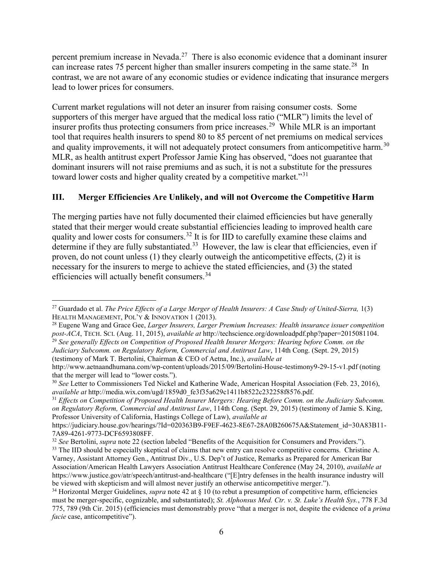percent premium increase in Nevada.<sup>27</sup> There is also economic evidence that a dominant insurer can increase rates 75 percent higher than smaller insurers competing in the same state.<sup>28</sup> In contrast, we are not aware of any economic studies or evidence indicating that insurance mergers lead to lower prices for consumers.

Current market regulations will not deter an insurer from raising consumer costs. Some supporters of this merger have argued that the medical loss ratio ("MLR") limits the level of insurer profits thus protecting consumers from price increases.<sup>29</sup> While MLR is an important tool that requires health insurers to spend 80 to 85 percent of net premiums on medical services and quality improvements, it will not adequately protect consumers from anticompetitive harm.<sup>30</sup> MLR, as health antitrust expert Professor Jamie King has observed, "does not guarantee that dominant insurers will not raise premiums and as such, it is not a substitute for the pressures toward lower costs and higher quality created by a competitive market."<sup>31</sup>

# III. Merger Efficiencies Are Unlikely, and will not Overcome the Competitive Harm

The merging parties have not fully documented their claimed efficiencies but have generally stated that their merger would create substantial efficiencies leading to improved health care quality and lower costs for consumers.<sup>32</sup> It is for IID to carefully examine these claims and determine if they are fully substantiated.<sup>33</sup> However, the law is clear that efficiencies, even if proven, do not count unless (1) they clearly outweigh the anticompetitive effects, (2) it is necessary for the insurers to merge to achieve the stated efficiencies, and (3) the stated efficiencies will actually benefit consumers.<sup>34</sup>

 $\overline{a}$ <sup>27</sup> Guardado et al. The Price Effects of a Large Merger of Health Insurers: A Case Study of United-Sierra, 1(3) HEALTH MANAGEMENT, POL'Y & INNOVATION 1 (2013).

<sup>&</sup>lt;sup>28</sup> Eugene Wang and Grace Gee, Larger Insurers, Larger Premium Increases: Health insurance issuer competition post-ACA, TECH. SCI. (Aug. 11, 2015), available at http://techscience.org/downloadpdf.php?paper=2015081104. <sup>29</sup> See generally Effects on Competition of Proposed Health Insurer Mergers: Hearing before Comm. on the

Judiciary Subcomm. on Regulatory Reform, Commercial and Antitrust Law, 114th Cong. (Sept. 29, 2015) (testimony of Mark T. Bertolini, Chairman & CEO of Aetna, Inc.), available at

http://www.aetnaandhumana.com/wp-content/uploads/2015/09/Bertolini-House-testimony9-29-15-v1.pdf (noting that the merger will lead to "lower costs.").

<sup>&</sup>lt;sup>30</sup> See Letter to Commissioners Ted Nickel and Katherine Wade, American Hospital Association (Feb. 23, 2016), available at http://media.wix.com/ugd/1859d0\_fe3f35a629c1411b8522c232258f8576.pdf.

<sup>&</sup>lt;sup>31</sup> Effects on Competition of Proposed Health Insurer Mergers: Hearing Before Comm. on the Judiciary Subcomm. on Regulatory Reform, Commercial and Antitrust Law, 114th Cong. (Sept. 29, 2015) (testimony of Jamie S. King, Professor University of California, Hastings College of Law), available at

https://judiciary.house.gov/hearings/?Id=020363B9-F9EF-4623-8E67-28A0B260675A&Statement\_id=30A83B11-7A89-4261-9773-DCF6593808FF.

<sup>&</sup>lt;sup>32</sup> See Bertolini, supra note 22 (section labeled "Benefits of the Acquisition for Consumers and Providers."). <sup>33</sup> The IID should be especially skeptical of claims that new entry can resolve competitive concerns. Christine A. Varney, Assistant Attorney Gen., Antitrust Div., U.S. Dep't of Justice, Remarks as Prepared for American Bar Association/American Health Lawyers Association Antitrust Healthcare Conference (May 24, 2010), available at https://www.justice.gov/atr/speech/antitrust-and-healthcare ("[E]ntry defenses in the health insurance industry will be viewed with skepticism and will almost never justify an otherwise anticompetitive merger.").

<sup>&</sup>lt;sup>34</sup> Horizontal Merger Guidelines, *supra* note 42 at  $\S$  10 (to rebut a presumption of competitive harm, efficiencies must be merger-specific, cognizable, and substantiated); St. Alphonsus Med. Ctr. v. St. Luke's Health Sys., 778 F.3d 775, 789 (9th Cir. 2015) (efficiencies must demonstrably prove "that a merger is not, despite the evidence of a prima facie case, anticompetitive").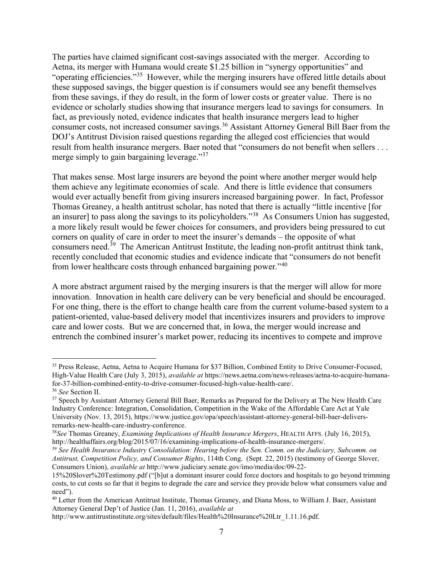The parties have claimed significant cost-savings associated with the merger. According to Aetna, its merger with Humana would create \$1.25 billion in "synergy opportunities" and "operating efficiencies."<sup>35</sup> However, while the merging insurers have offered little details about these supposed savings, the bigger question is if consumers would see any benefit themselves from these savings, if they do result, in the form of lower costs or greater value. There is no evidence or scholarly studies showing that insurance mergers lead to savings for consumers. In fact, as previously noted, evidence indicates that health insurance mergers lead to higher consumer costs, not increased consumer savings.<sup>36</sup> Assistant Attorney General Bill Baer from the DOJ's Antitrust Division raised questions regarding the alleged cost efficiencies that would result from health insurance mergers. Baer noted that "consumers do not benefit when sellers . . . merge simply to gain bargaining leverage."<sup>37</sup>

That makes sense. Most large insurers are beyond the point where another merger would help them achieve any legitimate economies of scale. And there is little evidence that consumers would ever actually benefit from giving insurers increased bargaining power. In fact, Professor Thomas Greaney, a health antitrust scholar, has noted that there is actually "little incentive [for an insurer] to pass along the savings to its policyholders."<sup>38</sup> As Consumers Union has suggested, a more likely result would be fewer choices for consumers, and providers being pressured to cut corners on quality of care in order to meet the insurer's demands – the opposite of what consumers need.<sup>39</sup> The American Antitrust Institute, the leading non-profit antitrust think tank, recently concluded that economic studies and evidence indicate that "consumers do not benefit from lower healthcare costs through enhanced bargaining power."<sup>40</sup>

A more abstract argument raised by the merging insurers is that the merger will allow for more innovation. Innovation in health care delivery can be very beneficial and should be encouraged. For one thing, there is the effort to change health care from the current volume-based system to a patient-oriented, value-based delivery model that incentivizes insurers and providers to improve care and lower costs. But we are concerned that, in Iowa, the merger would increase and entrench the combined insurer's market power, reducing its incentives to compete and improve

<sup>35</sup> Press Release, Aetna, Aetna to Acquire Humana for \$37 Billion, Combined Entity to Drive Consumer-Focused, High-Value Health Care (July 3, 2015), available at https://news.aetna.com/news-releases/aetna-to-acquire-humanafor-37-billion-combined-entity-to-drive-consumer-focused-high-value-health-care/.

<sup>36</sup> See Section II.

<sup>&</sup>lt;sup>37</sup> Speech by Assistant Attorney General Bill Baer, Remarks as Prepared for the Delivery at The New Health Care Industry Conference: Integration, Consolidation, Competition in the Wake of the Affordable Care Act at Yale University (Nov. 13, 2015), https://www.justice.gov/opa/speech/assistant-attorney-general-bill-baer-deliversremarks-new-health-care-industry-conference.

 $38$ See Thomas Greaney, *Examining Implications of Health Insurance Mergers*, HEALTH AFFS. (July 16, 2015), http://healthaffairs.org/blog/2015/07/16/examining-implications-of-health-insurance-mergers/.

<sup>&</sup>lt;sup>39</sup> See Health Insurance Industry Consolidation: Hearing before the Sen. Comm. on the Judiciary, Subcomm. on Antitrust, Competition Policy, and Consumer Rights, 114th Cong. (Sept. 22, 2015) (testimony of George Slover, Consumers Union), available at http://www.judiciary.senate.gov/imo/media/doc/09-22-

<sup>15%20</sup>Slover%20Testimony.pdf ("[b]ut a dominant insurer could force doctors and hospitals to go beyond trimming costs, to cut costs so far that it begins to degrade the care and service they provide below what consumers value and need").

<sup>&</sup>lt;sup>40</sup> Letter from the American Antitrust Institute, Thomas Greaney, and Diana Moss, to William J. Baer, Assistant Attorney General Dep't of Justice (Jan. 11, 2016), available at

http://www.antitrustinstitute.org/sites/default/files/Health%20Insurance%20Ltr\_1.11.16.pdf.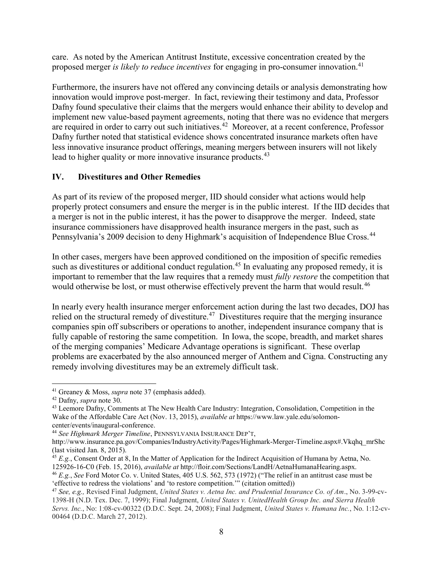care. As noted by the American Antitrust Institute, excessive concentration created by the proposed merger is likely to reduce incentives for engaging in pro-consumer innovation.<sup>41</sup>

Furthermore, the insurers have not offered any convincing details or analysis demonstrating how innovation would improve post-merger. In fact, reviewing their testimony and data, Professor Dafny found speculative their claims that the mergers would enhance their ability to develop and implement new value-based payment agreements, noting that there was no evidence that mergers are required in order to carry out such initiatives.<sup>42</sup> Moreover, at a recent conference, Professor Dafny further noted that statistical evidence shows concentrated insurance markets often have less innovative insurance product offerings, meaning mergers between insurers will not likely lead to higher quality or more innovative insurance products.<sup>43</sup>

### IV. Divestitures and Other Remedies

As part of its review of the proposed merger, IID should consider what actions would help properly protect consumers and ensure the merger is in the public interest. If the IID decides that a merger is not in the public interest, it has the power to disapprove the merger. Indeed, state insurance commissioners have disapproved health insurance mergers in the past, such as Pennsylvania's 2009 decision to deny Highmark's acquisition of Independence Blue Cross.<sup>44</sup>

In other cases, mergers have been approved conditioned on the imposition of specific remedies such as divestitures or additional conduct regulation.<sup>45</sup> In evaluating any proposed remedy, it is important to remember that the law requires that a remedy must fully restore the competition that would otherwise be lost, or must otherwise effectively prevent the harm that would result.<sup>46</sup>

In nearly every health insurance merger enforcement action during the last two decades, DOJ has relied on the structural remedy of divestiture.<sup>47</sup> Divestitures require that the merging insurance companies spin off subscribers or operations to another, independent insurance company that is fully capable of restoring the same competition. In Iowa, the scope, breadth, and market shares of the merging companies' Medicare Advantage operations is significant. These overlap problems are exacerbated by the also announced merger of Anthem and Cigna. Constructing any remedy involving divestitures may be an extremely difficult task.

 $41$  Greaney & Moss, *supra* note 37 (emphasis added).

<sup>42</sup> Dafny, supra note 30.

<sup>&</sup>lt;sup>43</sup> Leemore Dafny, Comments at The New Health Care Industry: Integration, Consolidation, Competition in the Wake of the Affordable Care Act (Nov. 13, 2015), *available at* https://www.law.yale.edu/solomoncenter/events/inaugural-conference.

<sup>&</sup>lt;sup>44</sup> See Highmark Merger Timeline, PENNSYLVANIA INSURANCE DEP'T,

http://www.insurance.pa.gov/Companies/IndustryActivity/Pages/Highmark-Merger-Timeline.aspx#.Vkqhq\_mrShc (last visited Jan. 8, 2015).

 $45$  E.g., Consent Order at 8, In the Matter of Application for the Indirect Acquisition of Humana by Aetna, No. 125926-16-C0 (Feb. 15, 2016), available at http://floir.com/Sections/LandH/AetnaHumanaHearing.aspx.

<sup>46</sup> E.g., See Ford Motor Co. v. United States, 405 U.S. 562, 573 (1972) ("The relief in an antitrust case must be 'effective to redress the violations' and 'to restore competition.'" (citation omitted))

<sup>47</sup> See, e.g., Revised Final Judgment, United States v. Aetna Inc. and Prudential Insurance Co. of Am., No. 3-99-cv-1398-H (N.D. Tex. Dec. 7, 1999); Final Judgment, United States v. UnitedHealth Group Inc. and Sierra Health Servs. Inc., No: 1:08-cv-00322 (D.D.C. Sept. 24, 2008); Final Judgment, United States v. Humana Inc., No. 1:12-cv-00464 (D.D.C. March 27, 2012).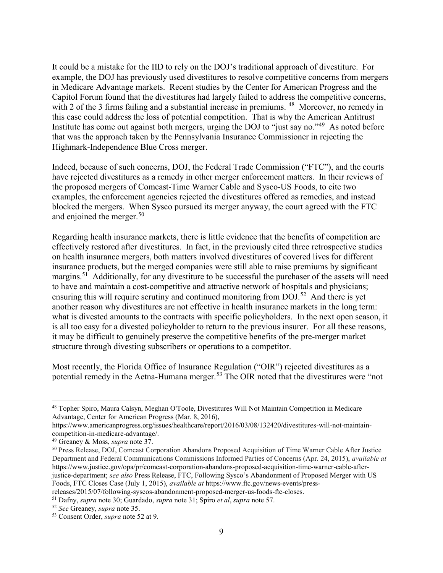It could be a mistake for the IID to rely on the DOJ's traditional approach of divestiture. For example, the DOJ has previously used divestitures to resolve competitive concerns from mergers in Medicare Advantage markets. Recent studies by the Center for American Progress and the Capitol Forum found that the divestitures had largely failed to address the competitive concerns, with 2 of the 3 firms failing and a substantial increase in premiums. <sup>48</sup> Moreover, no remedy in this case could address the loss of potential competition. That is why the American Antitrust Institute has come out against both mergers, urging the DOJ to "just say no."<sup>49</sup> As noted before that was the approach taken by the Pennsylvania Insurance Commissioner in rejecting the Highmark-Independence Blue Cross merger.

Indeed, because of such concerns, DOJ, the Federal Trade Commission ("FTC"), and the courts have rejected divestitures as a remedy in other merger enforcement matters. In their reviews of the proposed mergers of Comcast-Time Warner Cable and Sysco-US Foods, to cite two examples, the enforcement agencies rejected the divestitures offered as remedies, and instead blocked the mergers. When Sysco pursued its merger anyway, the court agreed with the FTC and enjoined the merger.<sup>50</sup>

Regarding health insurance markets, there is little evidence that the benefits of competition are effectively restored after divestitures. In fact, in the previously cited three retrospective studies on health insurance mergers, both matters involved divestitures of covered lives for different insurance products, but the merged companies were still able to raise premiums by significant margins.<sup>51</sup> Additionally, for any divestiture to be successful the purchaser of the assets will need to have and maintain a cost-competitive and attractive network of hospitals and physicians; ensuring this will require scrutiny and continued monitoring from DOJ.<sup>52</sup> And there is yet another reason why divestitures are not effective in health insurance markets in the long term: what is divested amounts to the contracts with specific policyholders. In the next open season, it is all too easy for a divested policyholder to return to the previous insurer. For all these reasons, it may be difficult to genuinely preserve the competitive benefits of the pre-merger market structure through divesting subscribers or operations to a competitor.

Most recently, the Florida Office of Insurance Regulation ("OIR") rejected divestitures as a potential remedy in the Aetna-Humana merger.<sup>53</sup> The OIR noted that the divestitures were "not

 $\overline{a}$ 

releases/2015/07/following-syscos-abandonment-proposed-merger-us-foods-ftc-closes. <sup>51</sup> Dafny, supra note 30; Guardado, supra note 31; Spiro et al, supra note 57.

<sup>48</sup> Topher Spiro, Maura Calsyn, Meghan O'Toole, Divestitures Will Not Maintain Competition in Medicare Advantage, Center for American Progress (Mar. 8, 2016),

https://www.americanprogress.org/issues/healthcare/report/2016/03/08/132420/divestitures-will-not-maintaincompetition-in-medicare-advantage/.

<sup>49</sup> Greaney & Moss, supra note 37.

<sup>50</sup> Press Release, DOJ, Comcast Corporation Abandons Proposed Acquisition of Time Warner Cable After Justice Department and Federal Communications Commissions Informed Parties of Concerns (Apr. 24, 2015), available at https://www.justice.gov/opa/pr/comcast-corporation-abandons-proposed-acquisition-time-warner-cable-afterjustice-department; see also Press Release, FTC, Following Sysco's Abandonment of Proposed Merger with US Foods, FTC Closes Case (July 1, 2015), available at https://www.ftc.gov/news-events/press-

<sup>52</sup> See Greaney, supra note 35.

<sup>53</sup> Consent Order, *supra* note 52 at 9.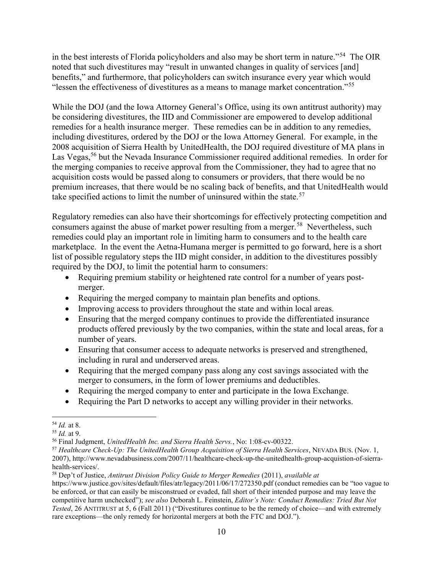in the best interests of Florida policyholders and also may be short term in nature."<sup>54</sup> The OIR noted that such divestitures may "result in unwanted changes in quality of services [and] benefits," and furthermore, that policyholders can switch insurance every year which would "lessen the effectiveness of divestitures as a means to manage market concentration."<sup>55</sup>

While the DOJ (and the Iowa Attorney General's Office, using its own antitrust authority) may be considering divestitures, the IID and Commissioner are empowered to develop additional remedies for a health insurance merger. These remedies can be in addition to any remedies, including divestitures, ordered by the DOJ or the Iowa Attorney General. For example, in the 2008 acquisition of Sierra Health by UnitedHealth, the DOJ required divestiture of MA plans in Las Vegas,<sup>56</sup> but the Nevada Insurance Commissioner required additional remedies. In order for the merging companies to receive approval from the Commissioner, they had to agree that no acquisition costs would be passed along to consumers or providers, that there would be no premium increases, that there would be no scaling back of benefits, and that UnitedHealth would take specified actions to limit the number of uninsured within the state.<sup>57</sup>

Regulatory remedies can also have their shortcomings for effectively protecting competition and consumers against the abuse of market power resulting from a merger.<sup>58</sup> Nevertheless, such remedies could play an important role in limiting harm to consumers and to the health care marketplace. In the event the Aetna-Humana merger is permitted to go forward, here is a short list of possible regulatory steps the IID might consider, in addition to the divestitures possibly required by the DOJ, to limit the potential harm to consumers:

- Requiring premium stability or heightened rate control for a number of years postmerger.
- Requiring the merged company to maintain plan benefits and options.
- Improving access to providers throughout the state and within local areas.
- Ensuring that the merged company continues to provide the differentiated insurance products offered previously by the two companies, within the state and local areas, for a number of years.
- Ensuring that consumer access to adequate networks is preserved and strengthened, including in rural and underserved areas.
- Requiring that the merged company pass along any cost savings associated with the merger to consumers, in the form of lower premiums and deductibles.
- Requiring the merged company to enter and participate in the Iowa Exchange.
- Requiring the Part D networks to accept any willing provider in their networks.

 $\overline{a}$ <sup>54</sup> Id. at 8.

 $55$  *Id.* at 9.

<sup>&</sup>lt;sup>56</sup> Final Judgment, UnitedHealth Inc. and Sierra Health Servs., No: 1:08-cv-00322.

<sup>&</sup>lt;sup>57</sup> Healthcare Check-Up: The UnitedHealth Group Acquisition of Sierra Health Services, NEVADA BUS. (Nov. 1, 2007), http://www.nevadabusiness.com/2007/11/healthcare-check-up-the-unitedhealth-group-acquistion-of-sierrahealth-services/.

 $58$  Dep't of Justice, Antitrust Division Policy Guide to Merger Remedies (2011), available at

https://www.justice.gov/sites/default/files/atr/legacy/2011/06/17/272350.pdf (conduct remedies can be "too vague to be enforced, or that can easily be misconstrued or evaded, fall short of their intended purpose and may leave the competitive harm unchecked"); see also Deborah L. Feinstein, Editor's Note: Conduct Remedies: Tried But Not Tested, 26 ANTITRUST at 5, 6 (Fall 2011) ("Divestitures continue to be the remedy of choice—and with extremely rare exceptions—the only remedy for horizontal mergers at both the FTC and DOJ.").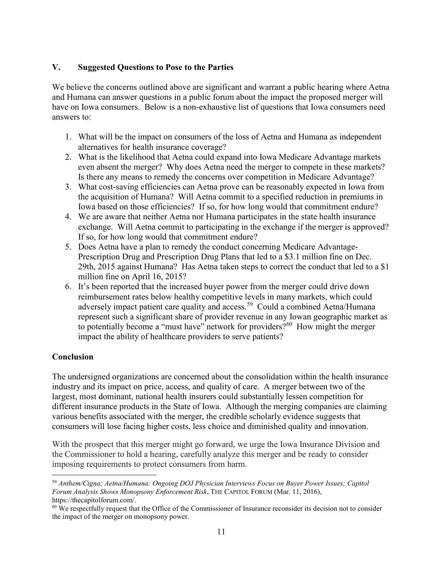#### V. Suggested Questions to Pose to the Parties

We believe the concerns outlined above are significant and warrant a public hearing where Aetna and Humana can answer questions in a public forum about the impact the proposed merger will have on Iowa consumers. Below is a non-exhaustive list of questions that Iowa consumers need answers to:

- 1. What will be the impact on consumers of the loss of Aetna and Humana as independent alternatives for health insurance coverage?
- 2. What is the likelihood that Aetna could expand into Iowa Medicare Advantage markets even absent the merger? Why does Aetna need the merger to compete in these markets? Is there any means to remedy the concerns over competition in Medicare Advantage?
- 3. What cost-saving efficiencies can Aetna prove can be reasonably expected in Iowa from the acquisition of Humana? Will Aetna commit to a specified reduction in premiums in Iowa based on those efficiencies? If so, for how long would that commitment endure?
- 4. We are aware that neither Aetna nor Humana participates in the state health insurance exchange. Will Aetna commit to participating in the exchange if the merger is approved? If so, for how long would that commitment endure?
- 5. Does Aetna have a plan to remedy the conduct concerning Medicare Advantage-Prescription Drug and Prescription Drug Plans that led to a \$3.1 million fine on Dec. 29th, 2015 against Humana? Has Aetna taken steps to correct the conduct that led to a \$1 million fine on April 16, 2015?
- 6. It's been reported that the increased buyer power from the merger could drive down reimbursement rates below healthy competitive levels in many markets, which could adversely impact patient care quality and access.<sup>59</sup> Could a combined Aetna/Humana represent such a significant share of provider revenue in any Iowan geographic market as to potentially become a "must have" network for providers?<sup>60</sup> How might the merger impact the ability of healthcare providers to serve patients?

### Conclusion

 $\overline{a}$ 

The undersigned organizations are concerned about the consolidation within the health insurance industry and its impact on price, access, and quality of care. A merger between two of the largest, most dominant, national health insurers could substantially lessen competition for different insurance products in the State of Iowa. Although the merging companies are claiming various benefits associated with the merger, the credible scholarly evidence suggests that consumers will lose facing higher costs, less choice and diminished quality and innovation.

With the prospect that this merger might go forward, we urge the Iowa Insurance Division and the Commissioner to hold a hearing, carefully analyze this merger and be ready to consider imposing requirements to protect consumers from harm.

<sup>59</sup> Anthem/Cigna; Aetna/Humana: Ongoing DOJ Physician Interviews Focus on Buyer Power Issues; Capitol Forum Analysis Shows Monopsony Enforcement Risk, THE CAPITOL FORUM (Mar. 11, 2016), https://thecapitolforum.com/.

 $60$  We respectfully request that the Office of the Commissioner of Insurance reconsider its decision not to consider the impact of the merger on monopsony power.